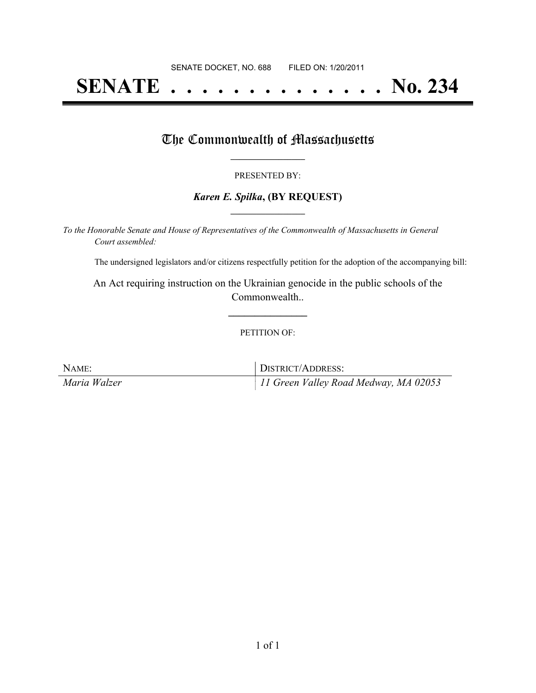# **SENATE . . . . . . . . . . . . . . No. 234**

### The Commonwealth of Massachusetts

#### PRESENTED BY:

#### *Karen E. Spilka***, (BY REQUEST) \_\_\_\_\_\_\_\_\_\_\_\_\_\_\_\_\_**

*To the Honorable Senate and House of Representatives of the Commonwealth of Massachusetts in General Court assembled:*

The undersigned legislators and/or citizens respectfully petition for the adoption of the accompanying bill:

An Act requiring instruction on the Ukrainian genocide in the public schools of the Commonwealth..

#### PETITION OF:

**\_\_\_\_\_\_\_\_\_\_\_\_\_\_\_**

| NAME:        | DISTRICT/ADDRESS:                     |
|--------------|---------------------------------------|
| Maria Walzer | 11 Green Valley Road Medway, MA 02053 |